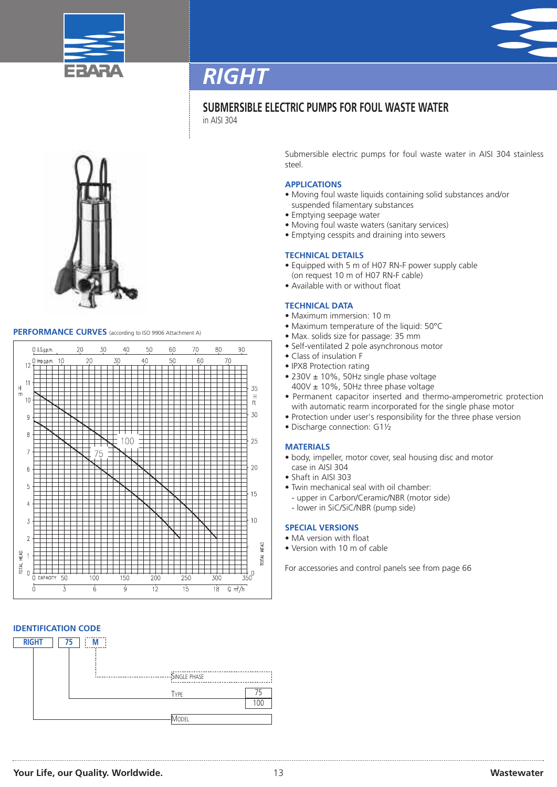



## *RIGHT*

## **SUBMERSIBLE ELECTRIC PUMPS FOR FOUL WASTE WATER**

in AISI 304



## **PERFORMANCE CURVES** (according to ISO <sup>9906</sup> Attachment A)



## **IDENTIFICATION CODE**



Submersible electric pumps for foul waste water in AISI 304 stainless steel.

### **APPLICATIONS**

- Moving foul waste liquids containing solid substances and/or suspended filamentary substances
- Emptying seepage water
- Moving foul waste waters (sanitary services)
- Emptying cesspits and draining into sewers

### **TECHNICAL DETAILS**

- Equipped with 5 m of H07 RN-F power supply cable (on request 10 m of H07 RN-F cable)
- Available with or without float

### **TECHNICAL DATA**

- Maximum immersion: 10 m
- Maximum temperature of the liquid: 50°C
- Max. solids size for passage: 35 mm
- Self-ventilated 2 pole asynchronous motor
- Class of insulation F
- IPX8 Protection rating
- 230V ± 10%, 50Hz single phase voltage  $400V \pm 10\%$ , 50Hz three phase voltage
- Permanent capacitor inserted and thermo-amperometric protection with automatic rearm incorporated for the single phase motor
- Protection under user's responsibility for the three phase version
- Discharge connection: G1½

### **MATERIALS**

- body, impeller, motor cover, seal housing disc and motor case in AISI 304
- Shaft in AISI 303
- Twin mechanical seal with oil chamber:
- upper in Carbon/Ceramic/NBR (motor side)
- lower in SiC/SiC/NBR (pump side)

#### **SPECIAL VERSIONS**

- MA version with float
- Version with 10 m of cable

For accessories and control panels see from page 66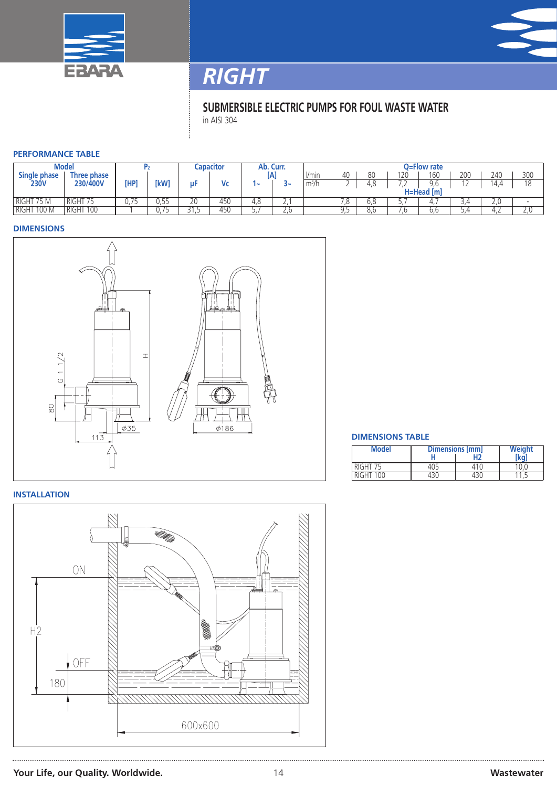



# *RIGHT*

## **SUBMERSIBLE ELECTRIC PUMPS FOR FOUL WASTE WATER** in AISI 304

### **PERFORMANCE TABLE**

| Model                   |                     |      |                 | .apacitor                |     | Ab. Curr. |          | O=Flow rate       |    |          |                |     |     |        |     |
|-------------------------|---------------------|------|-----------------|--------------------------|-----|-----------|----------|-------------------|----|----------|----------------|-----|-----|--------|-----|
| Single phase            | Three phase         |      |                 |                          |     | ſΑ        |          | l/min             | 40 | 80       | 120            | 160 | 200 | 240    | 300 |
| <b>230V</b>             | 230/400V            | [HP  | <b>IkW1</b>     | uF                       | Me  | e         |          | m <sup>3</sup> /h | ∼  | o<br>4.O | $ \sim$<br>$-$ | 9.6 | . . | 14.4   | 10  |
|                         |                     |      |                 |                          |     |           |          | H=Head [m]        |    |          |                |     |     |        |     |
| $75N_1$<br><b>RIGHT</b> | <b>RIGHT</b>        | U./5 | 55<br><u>JJ</u> | 20                       | 450 | 4.8       | <u>.</u> |                   | ں. | v.o      | <u>.</u>       |     | 4.ر | Z.U    |     |
| 100 M<br><b>RIGHT</b>   | <b>RIGHT</b><br>100 |      | $\cup$ .        | $\overline{\phantom{a}}$ | 450 |           | ے ۔      |                   |    |          | . O            | b.b | 4.ر | 4<br>. | Z.U |

#### **DIMENSIONS**



### **DIMENSIONS TABLE**

| <b>Model</b> | Dimensions [mm] | Weight |     |  |
|--------------|-----------------|--------|-----|--|
|              |                 |        | (ko |  |
| RIGHT 75     |                 |        |     |  |
| RIGHT 100    |                 |        |     |  |

### **INSTALLATION**



**Your Life, our Quality. Worldwide.** 14 **Wastewater**